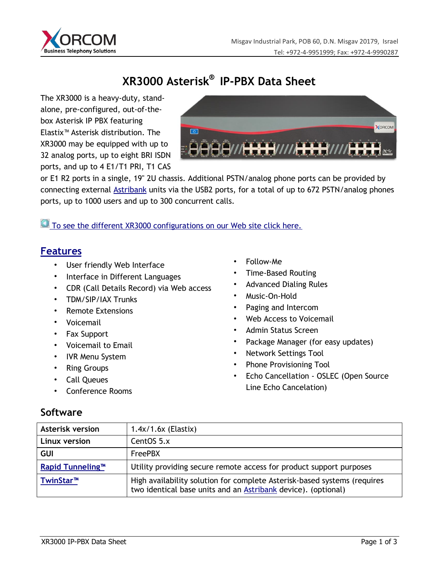

# **XR3000 Asterisk®i IP-PBX Data Sheet**

The XR3000 is a heavy-duty, standalone, pre-configured, out-of-thebox Asterisk IP PBX featuring Elastix™ Asterisk distribution. The XR3000 may be equipped with up to 32 analog ports, up to eight BRI ISDN ports, and up to 4 E1/T1 PRI, T1 CAS



or E1 R2 ports in a single, 19" 2U chassis. Additional PSTN/analog phone ports can be provided by connecting external **Astribank** units via the USB2 ports, for a total of up to 672 PSTN/analog phones ports, up to 1000 users and up to 300 concurrent calls.

To see the different XR3000 configurations on our Web site click here.

### **Features**

- User friendly Web Interface
- Interface in Different Languages
- CDR (Call Details Record) via Web access
- TDM/SIP/IAX Trunks
- Remote Extensions
- Voicemail
- Fax Support
- Voicemail to Email
- IVR Menu System
- Ring Groups
- Call Queues
- Conference Rooms
- Follow-Me
- Time-Based Routing
- Advanced Dialing Rules
- Music-On-Hold
- Paging and Intercom
- Web Access to Voicemail
- Admin Status Screen
- Package Manager (for easy updates)
- Network Settings Tool
- Phone Provisioning Tool
- Echo Cancellation OSLEC (Open Source Line Echo Cancelation)

## **Software**

| <b>Asterisk version</b> | $1.4x/1.6x$ (Elastix)                                                                                                                            |
|-------------------------|--------------------------------------------------------------------------------------------------------------------------------------------------|
| Linux version           | CentOS 5.x                                                                                                                                       |
| <b>GUI</b>              | <b>FreePBX</b>                                                                                                                                   |
| <b>Rapid Tunneling™</b> | Utility providing secure remote access for product support purposes                                                                              |
| TwinStar <sup>™</sup>   | High availability solution for complete Asterisk-based systems (requires<br>two identical base units and an <b>Astribank</b> device). (optional) |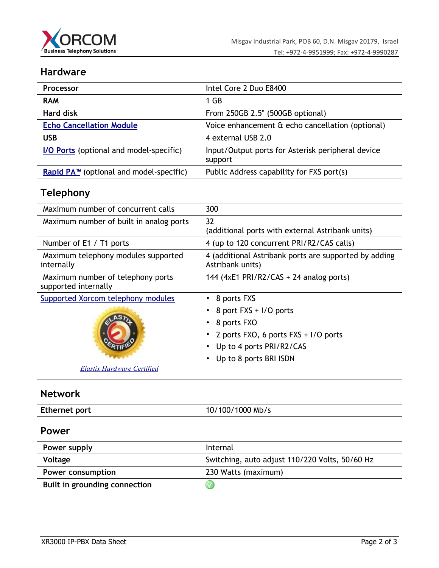

## **Hardware**

| <b>Processor</b>                           | Intel Core 2 Duo E8400                                       |
|--------------------------------------------|--------------------------------------------------------------|
| <b>RAM</b>                                 | 1 GB                                                         |
| <b>Hard disk</b>                           | From 250GB 2.5" (500GB optional)                             |
| <b>Echo Cancellation Module</b>            | Voice enhancement & echo cancellation (optional)             |
| <b>USB</b>                                 | 4 external USB 2.0                                           |
| I/O Ports (optional and model-specific)    | Input/Output ports for Asterisk peripheral device<br>support |
| Rapid $PA^m$ (optional and model-specific) | Public Address capability for FXS port(s)                    |

## **Telephony**

| Maximum number of concurrent calls                               | 300                                                                                                                                                |
|------------------------------------------------------------------|----------------------------------------------------------------------------------------------------------------------------------------------------|
| Maximum number of built in analog ports                          | 32<br>(additional ports with external Astribank units)                                                                                             |
| Number of E1 / T1 ports                                          | 4 (up to 120 concurrent PRI/R2/CAS calls)                                                                                                          |
| Maximum telephony modules supported<br>internally                | 4 (additional Astribank ports are supported by adding<br>Astribank units)                                                                          |
| Maximum number of telephony ports<br>supported internally        | 144 (4xE1 PRI/R2/CAS + 24 analog ports)                                                                                                            |
| Supported Xorcom telephony modules<br>Elastix Hardware Certified | 8 ports FXS<br>8 port FXS + I/O ports<br>8 ports FXO<br>2 ports FXO, 6 ports FXS + I/O ports<br>Up to 4 ports PRI/R2/CAS<br>Up to 8 ports BRI ISDN |

## **Network**

| Ethernet port<br>$^{\circ}$ /1000 Mb/s<br>10 <sub>l</sub><br>$^{\prime}$ 100 $^{\prime}$ |  |
|------------------------------------------------------------------------------------------|--|
|------------------------------------------------------------------------------------------|--|

### **Power**

| Power supply                  | Internal                                       |
|-------------------------------|------------------------------------------------|
| Voltage                       | Switching, auto adjust 110/220 Volts, 50/60 Hz |
| Power consumption             | 230 Watts (maximum)                            |
| Built in grounding connection |                                                |